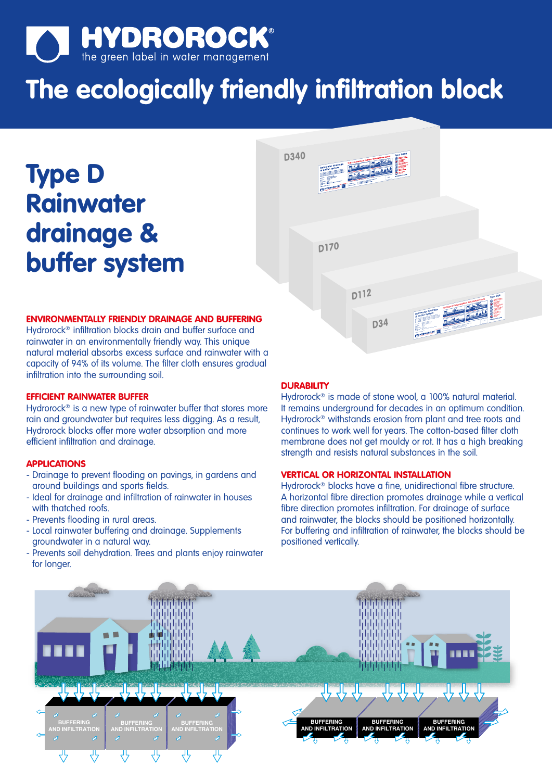

# **The ecologically friendly infiltration block**

**Type D Rainwater drainage & buffer system**



# **ENVIRONMENTALLY FRIENDLY DRAINAGE AND BUFFERING**

Hydrorock® infiltration blocks drain and buffer surface and rainwater in an environmentally friendly way. This unique natural material absorbs excess surface and rainwater with a capacity of 94% of its volume. The filter cloth ensures gradual infiltration into the surrounding soil.

# **EFFICIENT RAINWATER BUFFER**

Hydrorock<sup>®</sup> is a new type of rainwater buffer that stores more rain and groundwater but requires less digging. As a result, Hydrorock blocks offer more water absorption and more efficient infiltration and drainage.

# **APPLICATIONS**

- Drainage to prevent flooding on pavings, in gardens and around buildings and sports fields.
- Ideal for drainage and infiltration of rainwater in houses with thatched roofs.
- Prevents flooding in rural areas.
- Local rainwater buffering and drainage. Supplements groundwater in a natural way.
- Prevents soil dehydration. Trees and plants enjoy rainwater for longer.

#### **DURABILITY**

Hydrorock® is made of stone wool, a 100% natural material. It remains underground for decades in an optimum condition. Hydrorock® withstands erosion from plant and tree roots and continues to work well for years. The cotton-based filter cloth membrane does not get mouldy or rot. It has a high breaking strength and resists natural substances in the soil.

# **VERTICAL OR HORIZONTAL INSTALLATION**

Hydrorock® blocks have a fine, unidirectional fibre structure. A horizontal fibre direction promotes drainage while a vertical fibre direction promotes infiltration. For drainage of surface and rainwater, the blocks should be positioned horizontally. For buffering and infiltration of rainwater, the blocks should be positioned vertically.